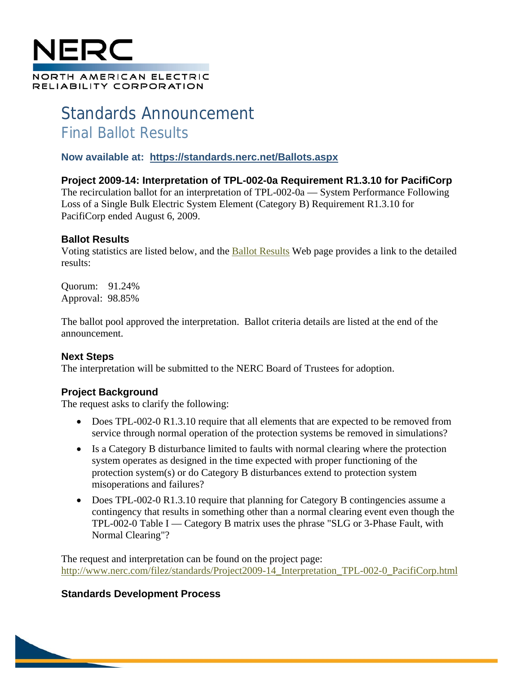

# Standards Announcement Final Ballot Results

**Now available at: https://standards.nerc.net/Ballots.aspx**

**Project 2009-14: Interpretation of TPL-002-0a Requirement R1.3.10 for PacifiCorp**

The recirculation ballot for an interpretation of TPL-002-0a — System Performance Following Loss of a Single Bulk Electric System Element (Category B) Requirement R1.3.10 for PacifiCorp ended August 6, 2009.

### **Ballot Results**

Voting statistics are listed below, and the Ballot Results Web page provides a link to the detailed results:

Quorum: 91.24% Approval: 98.85%

The ballot pool approved the interpretation. Ballot criteria details are listed at the end of the announcement.

### **Next Steps**

The interpretation will be submitted to the NERC Board of Trustees for adoption.

# **Project Background**

The request asks to clarify the following:

- Does TPL-002-0 R1.3.10 require that all elements that are expected to be removed from service through normal operation of the protection systems be removed in simulations?
- Is a Category B disturbance limited to faults with normal clearing where the protection system operates as designed in the time expected with proper functioning of the protection system(s) or do Category B disturbances extend to protection system misoperations and failures?
- Does TPL-002-0 R1.3.10 require that planning for Category B contingencies assume a contingency that results in something other than a normal clearing event even though the TPL-002-0 Table I — Category B matrix uses the phrase "SLG or 3-Phase Fault, with Normal Clearing"?

The request and interpretation can be found on the project page: http://www.nerc.com/filez/standards/Project2009-14\_Interpretation\_TPL-002-0\_PacifiCorp.html

# **Standards Development Process**